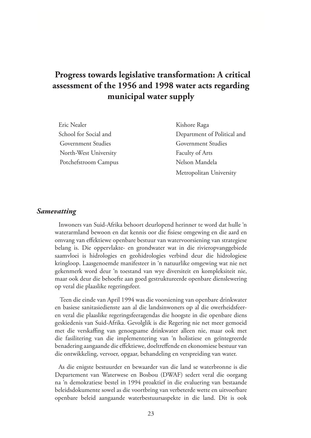# **Progress towards legislative transformation: A critical assessment of the 1956 and 1998 water acts regarding municipal water supply**

Eric Nealer Kishore Raga Government Studies Government Studies North-West University Faculty of Arts Potchefstroom Campus Nelson Mandela

School for Social and Department of Political and Metropolitan University

#### *Samevatting*

Inwoners van Suid-Afrika behoort deurlopend herinner te word dat hulle 'n waterarmland bewoon en dat kennis oor die fisiese omgewing en die aard en omvang van effektiewe openbare bestuur van watervoorsiening van strategiese belang is. Die oppervlakte- en grondwater wat in die rivieropvanggebiede saamvloei is hidrologies en geohidrologies verbind deur die hidrologiese kringloop. Laasgenoemde manifesteer in 'n natuurlike omgewing wat nie net gekenmerk word deur 'n toestand van wye diversiteit en kompleksiteit nie, maar ook deur die behoefte aan goed gestruktureerde openbare dienslewering op veral die plaaslike regeringsfeer.

Teen die einde van April 1994 was die voorsiening van openbare drinkwater en basiese sanitasiedienste aan al die landsinwoners op al die owerheidsfeeren veral die plaaslike regeringsfeeragendas die hoogste in die openbare diens geskiedenis van Suid-Afrika. Gevolglik is die Regering nie net meer gemoeid met die verskaffing van genoegsame drinkwater alleen nie, maar ook met die fasilitering van die implementering van 'n holistiese en geïntegreerde benadering aangaande die effektiewe, doeltreffende en ekonomiese bestuur van die ontwikkeling, vervoer, opgaar, behandeling en verspreiding van water.

As die enigste bestuurder en bewaarder van die land se waterbronne is die Departement van Waterwese en Bosbou (DWAF) sedert veral die oorgang na 'n demokratiese bestel in 1994 proaktief in die evaluering van bestaande beleidsdokumente sowel as die voortbring van verbeterde wette en uitvoerbare openbare beleid aangaande waterbestuursaspekte in die land. Dit is ook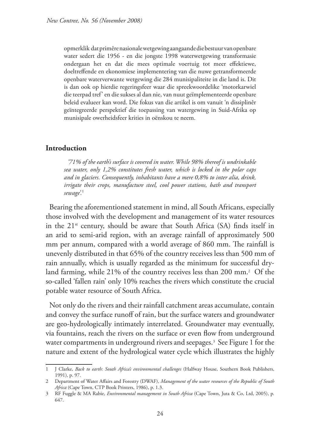opmerklik dat primêre nasionale wetgewing aangaande die bestuur van openbare water sedert die 1956 - en die jongste 1998 waterwetgewing transformasie ondergaan het en dat die mees optimale voertuig tot meer effektiewe, doeltreffende en ekonomiese implementering van die nuwe getransformeerde openbare waterverwante wetgewing die 284 munisipaliteite in die land is. Dit is dan ook op hierdie regeringsfeer waar die spreekwoordelike 'motorkarwiel die teerpad tref' en die sukses al dan nie, van nuut geïmplementeerde openbare beleid evalueer kan word. Die fokus van die artikel is om vanuit 'n dissiplinêr geïntegreerde perspektief die toepassing van watergewing in Suid-Afrika op munisipale owerheidsfeer krities in oënskou te neem.

#### **Introduction**

*'71% of the earth's surface is covered in water. While 98% thereof is undrinkable sea water, only 1,2% constitutes fresh water, which is locked in the polar caps and in glaciers. Consequently, inhabitants have a mere 0,8% to inter alia, drink, irrigate their crops, manufacture steel, cool power stations, bath and transport sewage'.*<sup>1</sup>

Bearing the aforementioned statement in mind, all South Africans, especially those involved with the development and management of its water resources in the  $21^{st}$  century, should be aware that South Africa (SA) finds itself in an arid to semi-arid region, with an average rainfall of approximately 500 mm per annum, compared with a world average of 860 mm. The rainfall is unevenly distributed in that 65% of the country receives less than 500 mm of rain annually, which is usually regarded as the minimum for successful dryland farming, while 21% of the country receives less than 200 mm.2 Of the so-called 'fallen rain' only 10% reaches the rivers which constitute the crucial potable water resource of South Africa.

Not only do the rivers and their rainfall catchment areas accumulate, contain and convey the surface runoff of rain, but the surface waters and groundwater are geo-hydrologically intimately interrelated. Groundwater may eventually, via fountains, reach the rivers on the surface or even flow from underground water compartments in underground rivers and seepages.3 See Figure 1 for the nature and extent of the hydrological water cycle which illustrates the highly

<sup>1</sup> J Clarke, *Back to earth: South Africa's environmental challenges* (Halfway House, Southern Book Publishers, 1991), p. 97.

<sup>2</sup> Department of Water Affairs and Forestry (DWAF), *Management of the water resources of the Republic of South Africa* (Cape Town, CTP Book Printers, 1986), p. 1.3.

<sup>3</sup> RF Fuggle & MA Rabie, *Environmental management in South Africa* (Cape Town, Juta & Co, Ltd, 2005), p. 647.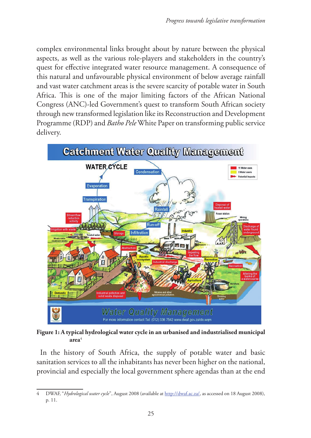complex environmental links brought about by nature between the physical aspects, as well as the various role-players and stakeholders in the country's quest for effective integrated water resource management. A consequence of this natural and unfavourable physical environment of below average rainfall and vast water catchment areas is the severe scarcity of potable water in South Africa. This is one of the major limiting factors of the African National Congress (ANC)-led Government's quest to transform South African society through new transformed legislation like its Reconstruction and Development Programme (RDP) and *Batho Pele* White Paper on transforming public service delivery.



**Figure 1: A typical hydrological water cycle in an urbanised and industrialised municipal area**<sup>4</sup>

In the history of South Africa, the supply of potable water and basic sanitation services to all the inhabitants has never been higher on the national, provincial and especially the local government sphere agendas than at the end

<sup>4</sup> DWAF, "*Hydrological water cycle*", August 2008 (available at http://dwaf.ac.za/, as accessed on 18 August 2008), p. 11.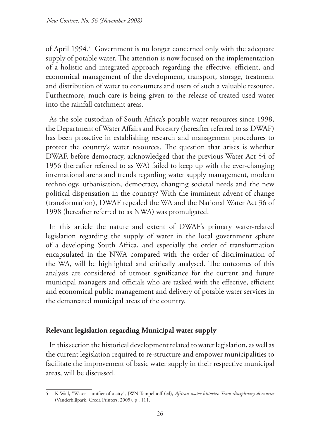of April 1994.<sup>5</sup> Government is no longer concerned only with the adequate supply of potable water. The attention is now focused on the implementation of a holistic and integrated approach regarding the effective, efficient, and economical management of the development, transport, storage, treatment and distribution of water to consumers and users of such a valuable resource. Furthermore, much care is being given to the release of treated used water into the rainfall catchment areas.

As the sole custodian of South Africa's potable water resources since 1998, the Department of Water Affairs and Forestry (hereafter referred to as DWAF) has been proactive in establishing research and management procedures to protect the country's water resources. The question that arises is whether DWAF, before democracy, acknowledged that the previous Water Act 54 of 1956 (hereafter referred to as WA) failed to keep up with the ever-changing international arena and trends regarding water supply management, modern technology, urbanisation, democracy, changing societal needs and the new political dispensation in the country? With the imminent advent of change (transformation), DWAF repealed the WA and the National Water Act 36 of 1998 (hereafter referred to as NWA) was promulgated.

In this article the nature and extent of DWAF's primary water-related legislation regarding the supply of water in the local government sphere of a developing South Africa, and especially the order of transformation encapsulated in the NWA compared with the order of discrimination of the WA, will be highlighted and critically analysed. The outcomes of this analysis are considered of utmost significance for the current and future municipal managers and officials who are tasked with the effective, efficient and economical public management and delivery of potable water services in the demarcated municipal areas of the country.

# **Relevant legislation regarding Municipal water supply**

In this section the historical development related to water legislation, as well as the current legislation required to re-structure and empower municipalities to facilitate the improvement of basic water supply in their respective municipal areas, will be discussed.

<sup>5</sup> K Wall, "Water – unifier of a city", JWN Tempelhoff (ed), *African water histories: Trans-disciplinary discourses* (Vanderbijlpark, Creda Printers, 2005), p . 111.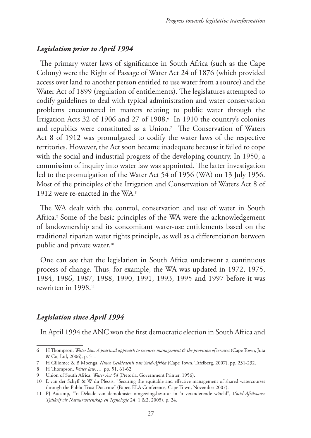# *Legislation prior to April 1994*

The primary water laws of significance in South Africa (such as the Cape Colony) were the Right of Passage of Water Act 24 of 1876 (which provided access over land to another person entitled to use water from a source) and the Water Act of 1899 (regulation of entitlements). The legislatures attempted to codify guidelines to deal with typical administration and water conservation problems encountered in matters relating to public water through the Irrigation Acts 32 of 1906 and 27 of 1908.6 In 1910 the country's colonies and republics were constituted as a Union.7 The Conservation of Waters Act 8 of 1912 was promulgated to codify the water laws of the respective territories. However, the Act soon became inadequate because it failed to cope with the social and industrial progress of the developing country. In 1950, a commission of inquiry into water law was appointed. The latter investigation led to the promulgation of the Water Act 54 of 1956 (WA) on 13 July 1956. Most of the principles of the Irrigation and Conservation of Waters Act 8 of 1912 were re-enacted in the WA. 8

The WA dealt with the control, conservation and use of water in South Africa.<sup>9</sup> Some of the basic principles of the WA were the acknowledgement of landownership and its concomitant water-use entitlements based on the traditional riparian water rights principle, as well as a differentiation between public and private water.10

One can see that the legislation in South Africa underwent a continuous process of change. Thus, for example, the WA was updated in 1972, 1975, 1984, 1986, 1987, 1988, 1990, 1991, 1993, 1995 and 1997 before it was rewritten in 1998.<sup>11</sup>

# *Legislation since April 1994*

In April 1994 the ANC won the first democratic election in South Africa and

<sup>6</sup> H Thompson, *Water law: A practical approach to resource management & the provision of services* (Cape Town, Juta & Co, Ltd, 2006), p. 51.

<sup>7</sup> H Giliomee & B Mbenga, *Nuwe Geskiedenis van Suid-Afrika* (Cape Town, Tafelberg, 2007), pp. 231-232.

<sup>8</sup> H Thompson, *Water law*…, pp. 51, 61-62.

<sup>9</sup> Union of South Africa, *Water Act 54* (Pretoria, Government Printer, 1956).

<sup>10</sup> E van der Schyff & W du Plessis, "Securing the equitable and effective management of shared watercourses through the Public Trust Doctrine" (Paper, ELA Conference, Cape Town, November 2007).

<sup>11</sup> PJ Aucamp, "'n Dekade van demokrasie: omgewingsbestuur in 'n veranderende wêreld", (*Suid-Afrikaanse Tydskrif vir Natuurwetenskap en Tegnologie* 24, 1 &2, 2005), p. 24.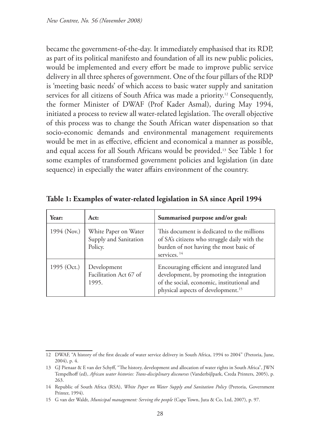became the government-of-the-day. It immediately emphasised that its RDP, as part of its political manifesto and foundation of all its new public policies, would be implemented and every effort be made to improve public service delivery in all three spheres of government. One of the four pillars of the RDP is 'meeting basic needs' of which access to basic water supply and sanitation services for all citizens of South Africa was made a priority.<sup>12</sup> Consequently, the former Minister of DWAF (Prof Kader Asmal), during May 1994, initiated a process to review all water-related legislation. The overall objective of this process was to change the South African water dispensation so that socio-economic demands and environmental management requirements would be met in as effective, efficient and economical a manner as possible, and equal access for all South Africans would be provided.13 See Table 1 for some examples of transformed government policies and legislation (in date sequence) in especially the water affairs environment of the country.

| Year:       | Act:                                                     | Summarised purpose and/or goal:                                                                                                                                                        |
|-------------|----------------------------------------------------------|----------------------------------------------------------------------------------------------------------------------------------------------------------------------------------------|
| 1994 (Nov.) | White Paper on Water<br>Supply and Sanitation<br>Policy. | This document is dedicated to the millions<br>of SA's citizens who struggle daily with the<br>burden of not having the most basic of<br>services. <sup>14</sup>                        |
| 1995 (Oct.) | Development<br>Facilitation Act 67 of<br>1995.           | Encouraging efficient and integrated land<br>development, by promoting the integration<br>of the social, economic, institutional and<br>physical aspects of development. <sup>15</sup> |

**Table 1: Examples of water-related legislation in SA since April 1994**

<sup>12</sup> DWAF, "A history of the first decade of water service delivery in South Africa, 1994 to 2004" (Pretoria, June, 2004), p. 4.

<sup>13</sup> GJ Pienaar & E van der Schyff, "The history, development and allocation of water rights in South Africa", JWN Tempelhoff (ed), *African water histories: Trans-disciplinary discourses* (Vanderbijlpark, Creda Printers, 2005), p. 263.

<sup>14</sup> Republic of South Africa (RSA), *White Paper on Water Supply and Sanitation Policy* (Pretoria, Government Printer, 1994).

<sup>15</sup> G van der Waldt, *Municipal management: Serving the people* (Cape Town, Juta & Co, Ltd, 2007), p. 97.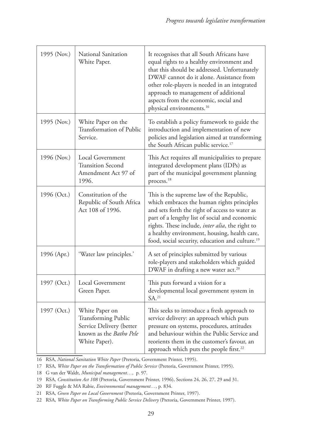| 1995 (Nov.) | National Sanitation<br>White Paper.                                                                                  | It recognises that all South Africans have<br>equal rights to a healthy environment and<br>that this should be addressed. Unfortunately<br>DWAF cannot do it alone. Assistance from<br>other role-players is needed in an integrated<br>approach to management of additional<br>aspects from the economic, social and<br>physical environments. <sup>16</sup> |
|-------------|----------------------------------------------------------------------------------------------------------------------|---------------------------------------------------------------------------------------------------------------------------------------------------------------------------------------------------------------------------------------------------------------------------------------------------------------------------------------------------------------|
| 1995 (Nov.) | White Paper on the<br>Transformation of Public<br>Service.                                                           | To establish a policy framework to guide the<br>introduction and implementation of new<br>policies and legislation aimed at transforming<br>the South African public service. <sup>17</sup>                                                                                                                                                                   |
| 1996 (Nov.) | Local Government<br><b>Transition Second</b><br>Amendment Act 97 of<br>1996.                                         | This Act requires all municipalities to prepare<br>integrated development plans (IDPs) as<br>part of the municipal government planning<br>process. <sup>18</sup>                                                                                                                                                                                              |
| 1996 (Oct.) | Constitution of the<br>Republic of South Africa<br>Act 108 of 1996.                                                  | This is the supreme law of the Republic,<br>which embraces the human rights principles<br>and sets forth the right of access to water as<br>part of a lengthy list of social and economic<br>rights. These include, inter alia, the right to<br>a healthy environment, housing, health care,<br>food, social security, education and culture. <sup>19</sup>   |
| 1996 (Apr.) | 'Water law principles.'                                                                                              | A set of principles submitted by various<br>role-players and stakeholders which guided<br>DWAF in drafting a new water act. <sup>20</sup>                                                                                                                                                                                                                     |
| 1997 (Oct.) | Local Government<br>Green Paper.                                                                                     | This puts forward a vision for a<br>developmental local government system in<br>SA. <sup>21</sup>                                                                                                                                                                                                                                                             |
| 1997 (Oct.) | White Paper on<br><b>Transforming Public</b><br>Service Delivery (better<br>known as the Batho Pele<br>White Paper). | This seeks to introduce a fresh approach to<br>service delivery: an approach which puts<br>pressure on systems, procedures, attitudes<br>and behaviour within the Public Service and<br>reorients them in the customer's favour, an<br>approach which puts the people first. <sup>22</sup>                                                                    |

16 RSA, *National Sanitation White Paper* (Pretoria, Government Printer, 1995).

18 G van der Waldt, *Municipal management…*, p. 97.

<sup>17</sup> RSA, *White Paper on the Transformation of Public Service* (Pretoria, Government Printer, 1995).

<sup>19</sup> RSA, *Constitution Act 108* (Pretoria, Government Printer, 1996), Sections 24, 26, 27, 29 and 31.

<sup>20</sup> RF Fuggle & MA Rabie, *Environmental management…*, p. 834.

<sup>21</sup> RSA, *Green Paper on Local Government* (Pretoria, Government Printer, 1997).

<sup>22</sup> RSA, *White Paper on Transforming Public Service Delivery* (Pretoria, Government Printer, 1997).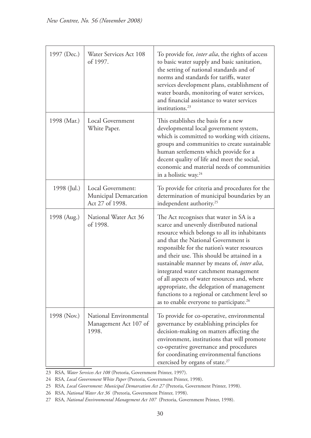| 1997 (Dec.) | Water Services Act 108<br>of 1997.                            | To provide for, <i>inter alia</i> , the rights of access<br>to basic water supply and basic sanitation,<br>the setting of national standards and of<br>norms and standards for tariffs, water<br>services development plans, establishment of<br>water boards, monitoring of water services,<br>and financial assistance to water services<br>institutions. <sup>23</sup>                                                                                                                                                                                                |
|-------------|---------------------------------------------------------------|--------------------------------------------------------------------------------------------------------------------------------------------------------------------------------------------------------------------------------------------------------------------------------------------------------------------------------------------------------------------------------------------------------------------------------------------------------------------------------------------------------------------------------------------------------------------------|
| 1998 (Mar.) | Local Government<br>White Paper.                              | This establishes the basis for a new<br>developmental local government system,<br>which is committed to working with citizens,<br>groups and communities to create sustainable<br>human settlements which provide for a<br>decent quality of life and meet the social,<br>economic and material needs of communities<br>in a holistic way. <sup>24</sup>                                                                                                                                                                                                                 |
| 1998 (Jul.) | Local Government:<br>Municipal Demarcation<br>Act 27 of 1998. | To provide for criteria and procedures for the<br>determination of municipal boundaries by an<br>independent authority. <sup>25</sup>                                                                                                                                                                                                                                                                                                                                                                                                                                    |
| 1998 (Aug.) | National Water Act 36<br>of 1998.                             | The Act recognises that water in SA is a<br>scarce and unevenly distributed national<br>resource which belongs to all its inhabitants<br>and that the National Government is<br>responsible for the nation's water resources<br>and their use. This should be attained in a<br>sustainable manner by means of, inter alia,<br>integrated water catchment management<br>of all aspects of water resources and, where<br>appropriate, the delegation of management<br>functions to a regional or catchment level so<br>as to enable everyone to participate. <sup>26</sup> |
| 1998 (Nov.) | National Environmental<br>Management Act 107 of<br>1998.      | To provide for co-operative, environmental<br>governance by establishing principles for<br>decision-making on matters affecting the<br>environment, institutions that will promote<br>co-operative governance and procedures<br>for coordinating environmental functions<br>exercised by organs of state. <sup>27</sup>                                                                                                                                                                                                                                                  |

23 RSA, *Water Services Act 108* (Pretoria, Government Printer, 1997).

24 RSA, *Local Government White Paper* (Pretoria, Government Printer, 1998).

25 RSA, *Local Government: Municipal Demarcation Act 27* (Pretoria, Government Printer, 1998).

26 RSA, *National Water Act 36* (Pretoria, Government Printer, 1998).

27 RSA, *National Environmental Management Act 107* (Pretoria, Government Printer, 1998).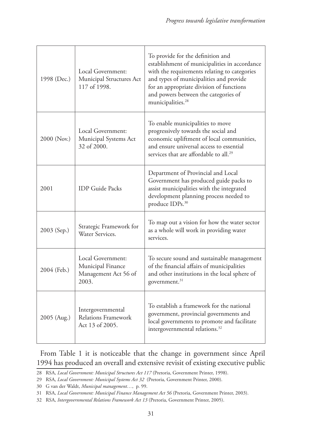| 1998 (Dec.) | Local Government:<br>Municipal Structures Act<br>117 of 1998.           | To provide for the definition and<br>establishment of municipalities in accordance<br>with the requirements relating to categories<br>and types of municipalities and provide<br>for an appropriate division of functions<br>and powers between the categories of<br>municipalities. <sup>28</sup> |
|-------------|-------------------------------------------------------------------------|----------------------------------------------------------------------------------------------------------------------------------------------------------------------------------------------------------------------------------------------------------------------------------------------------|
| 2000 (Nov.) | Local Government:<br>Municipal Systems Act<br>32 of 2000.               | To enable municipalities to move<br>progressively towards the social and<br>economic upliftment of local communities,<br>and ensure universal access to essential<br>services that are affordable to all. <sup>29</sup>                                                                            |
| 2001        | <b>IDP</b> Guide Packs                                                  | Department of Provincial and Local<br>Government has produced guide packs to<br>assist municipalities with the integrated<br>development planning process needed to<br>produce IDPs. <sup>30</sup>                                                                                                 |
| 2003 (Sep.) | Strategic Framework for<br>Water Services.                              | To map out a vision for how the water sector<br>as a whole will work in providing water<br>services.                                                                                                                                                                                               |
| 2004 (Feb.) | Local Government:<br>Municipal Finance<br>Management Act 56 of<br>2003. | To secure sound and sustainable management<br>of the financial affairs of municipalities<br>and other institutions in the local sphere of<br>government. <sup>31</sup>                                                                                                                             |
| 2005 (Aug.) | Intergovernmental<br>Relations Framework<br>Act 13 of 2005.             | To establish a framework for the national<br>government, provincial governments and<br>local governments to promote and facilitate<br>intergovernmental relations. <sup>32</sup>                                                                                                                   |

From Table 1 it is noticeable that the change in government since April 1994 has produced an overall and extensive revisit of existing executive public

<sup>28</sup> RSA, *Local Government: Municipal Structures Act 117* (Pretoria, Government Printer, 1998).

<sup>29</sup> RSA, *Local Government: Municipal Systems Act 32* (Pretoria, Government Printer, 2000).

<sup>30</sup> G van der Waldt, *Municipal management…*, p. 99.

<sup>31</sup> RSA, *Local Government: Municipal Finance Management Act 56* (Pretoria, Government Printer, 2003).

<sup>32</sup> RSA, *Intergovernmental Relations Framework Act 13* (Pretoria, Government Printer, 2005).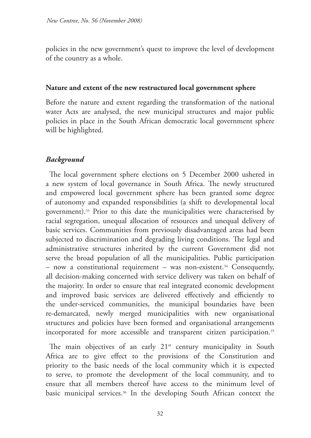policies in the new government's quest to improve the level of development of the country as a whole.

# **Nature and extent of the new restructured local government sphere**

Before the nature and extent regarding the transformation of the national water Acts are analysed, the new municipal structures and major public policies in place in the South African democratic local government sphere will be highlighted.

# *Background*

The local government sphere elections on 5 December 2000 ushered in a new system of local governance in South Africa. The newly structured and empowered local government sphere has been granted some degree of autonomy and expanded responsibilities (a shift to developmental local government).33 Prior to this date the municipalities were characterised by racial segregation, unequal allocation of resources and unequal delivery of basic services. Communities from previously disadvantaged areas had been subjected to discrimination and degrading living conditions. The legal and administrative structures inherited by the current Government did not serve the broad population of all the municipalities. Public participation – now a constitutional requirement – was non-existent.<sup>34</sup> Consequently, all decision-making concerned with service delivery was taken on behalf of the majority. In order to ensure that real integrated economic development and improved basic services are delivered effectively and efficiently to the under-serviced communities, the municipal boundaries have been re-demarcated, newly merged municipalities with new organisational structures and policies have been formed and organisational arrangements incorporated for more accessible and transparent citizen participation.<sup>35</sup>

The main objectives of an early  $21<sup>st</sup>$  century municipality in South Africa are to give effect to the provisions of the Constitution and priority to the basic needs of the local community which it is expected to serve, to promote the development of the local community, and to ensure that all members thereof have access to the minimum level of basic municipal services.36 In the developing South African context the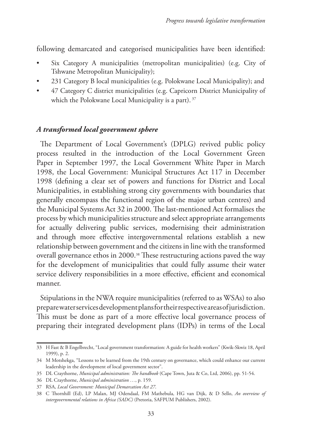following demarcated and categorised municipalities have been identified:

- Six Category A municipalities (metropolitan municipalities) (e.g. City of Tshwane Metropolitan Municipality);
- 231 Category B local municipalities (e.g. Polokwane Local Municipality); and
- 47 Category C district municipalities (e.g. Capricorn District Municipality of which the Polokwane Local Municipality is a part). <sup>37</sup>

# *A transformed local government sphere*

The Department of Local Government's (DPLG) revived public policy process resulted in the introduction of the Local Government Green Paper in September 1997, the Local Government White Paper in March 1998, the Local Government: Municipal Structures Act 117 in December 1998 (defining a clear set of powers and functions for District and Local Municipalities, in establishing strong city governments with boundaries that generally encompass the functional region of the major urban centres) and the Municipal Systems Act 32 in 2000. The last-mentioned Act formalises the process by which municipalities structure and select appropriate arrangements for actually delivering public services, modernising their administration and through more effective intergovernmental relations establish a new relationship between government and the citizens in line with the transformed overall governance ethos in 2000.<sup>38</sup> These restructuring actions paved the way for the development of municipalities that could fully assume their water service delivery responsibilities in a more effective, efficient and economical manner.

Stipulations in the NWA require municipalities (referred to as WSAs) to also prepare water services development plans for their respective areas of jurisdiction. This must be done as part of a more effective local governance process of preparing their integrated development plans (IDPs) in terms of the Local

<sup>33</sup> H Fast & B Engelbrecht, "Local government transformation: A guide for health workers" (Kwik-Skwiz 18, April 1999), p. 2.

<sup>34</sup> M Motshekga, "Lessons to be learned from the 19th century on governance, which could enhance our current leadership in the development of local government sector".

<sup>35</sup> DL Craythorne, *Municipal administration: The handbook* (Cape Town, Juta & Co, Ltd, 2006), pp. 51-54.

<sup>36</sup> DL Craythorne, *Municipal administration …*, p. 159.

<sup>37</sup> RSA, *Local Government: Municipal Demarcation Act 27*.

<sup>38</sup> C Thornhill (Ed), LP Malan, MJ Odendaal, FM Mathebula, HG van Dijk, & D Sello, *An overview of intergovernmental relations in Africa (SADC)* (Pretoria, SAFPUM Publishers, 2002).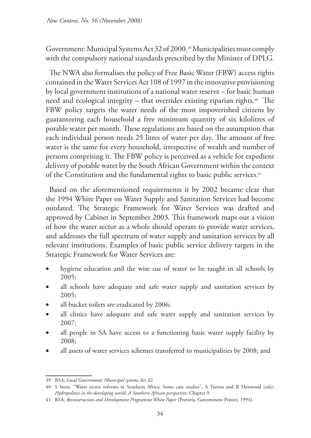Government: Municipal Systems Act 32 of 2000.39 Municipalities must comply with the compulsory national standards prescribed by the Minister of DPLG.

The NWA also formalises the policy of Free Basic Water (FBW) access rights contained in the Water Services Act 108 of 1997 in the innovative provisioning by local government institutions of a national water reserve – for basic human need and ecological integrity – that overrides existing riparian rights.<sup>40</sup> The FBW policy targets the water needs of the most impoverished citizens by guaranteeing each household a free minimum quantity of six kilolitres of potable water per month. These regulations are based on the assumption that each individual person needs 25 litres of water per day. The amount of free water is the same for every household, irrespective of wealth and number of persons comprising it. The FBW policy is perceived as a vehicle for expedient delivery of potable water by the South African Government within the context of the Constitution and the fundamental rights to basic public services. 41

Based on the aforementioned requirements it by 2002 became clear that the 1994 White Paper on Water Supply and Sanitation Services had become outdated. The Strategic Framework for Water Services was drafted and approved by Cabinet in September 2003. This framework maps out a vision of how the water sector as a whole should operate to provide water services, and addresses the full spectrum of water supply and sanitation services by all relevant institutions. Examples of basic public service delivery targets in the Strategic Framework for Water Services are:

- hygiene education and the wise use of water to be taught in all schools by 2005;
- all schools have adequate and safe water supply and sanitation services by 2005;
- all bucket toilets are eradicated by 2006;
- all clinics have adequate and safe water supply and sanitation services by 2007;
- all people in SA have access to a functioning basic water supply facility by 2008;
- all assets of water services schemes transferred to municipalities by 2008; and

<sup>39</sup> RSA, *Local Government: Municipal systems Act 32*.

<sup>40</sup> S Stein, "Water sector reforms in Southern Africa: Some case studies", A Turton and R Henwood (eds), *Hydropolitics in the developing world: A Southern African perspective*, Chapter 9.

<sup>41</sup> RSA, *Reconstruction and Development Programme White Paper* (Pretoria, Government Printer, 1994).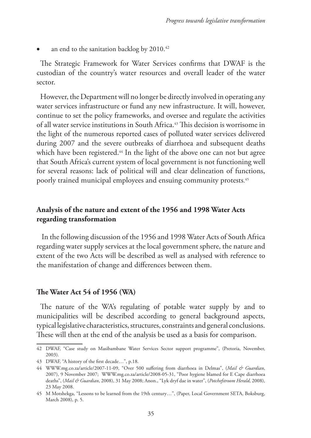an end to the sanitation backlog by  $2010.^{42}$ 

The Strategic Framework for Water Services confirms that DWAF is the custodian of the country's water resources and overall leader of the water sector.

However, the Department will no longer be directly involved in operating any water services infrastructure or fund any new infrastructure. It will, however, continue to set the policy frameworks, and oversee and regulate the activities of all water service institutions in South Africa.43 This decision is worrisome in the light of the numerous reported cases of polluted water services delivered during 2007 and the severe outbreaks of diarrhoea and subsequent deaths which have been registered.<sup>44</sup> In the light of the above one can not but agree that South Africa's current system of local government is not functioning well for several reasons: lack of political will and clear delineation of functions, poorly trained municipal employees and ensuing community protests. 45

# **Analysis of the nature and extent of the 1956 and 1998 Water Acts regarding transformation**

In the following discussion of the 1956 and 1998 Water Acts of South Africa regarding water supply services at the local government sphere, the nature and extent of the two Acts will be described as well as analysed with reference to the manifestation of change and differences between them.

### **The Water Act 54 of 1956 (WA)**

The nature of the WA's regulating of potable water supply by and to municipalities will be described according to general background aspects, typical legislative characteristics, structures, constraints and general conclusions. These will then at the end of the analysis be used as a basis for comparison.

<sup>42</sup> DWAF, "Case study on Masibambane Water Services Sector support programme", (Pretoria, November, 2003).

<sup>43</sup> DWAF, "A history of the first decade…", p.18.

<sup>44</sup> WWW.mg.co.za/article/2007-11-09, "Over 500 suffering from diarrhoea in Delmas", (*Mail & Guardian*, 2007), 9 November 2007; WWW.mg.co.za/article/2008-05-31, "Poor hygiene blamed for E Cape diarrhoea deaths", (*Mail & Guardian*, 2008), 31 May 2008; Anon., "Lyk dryf dae in water", (*Potchefstroom Herald*, 2008), 23 May 2008.

<sup>45</sup> M Motshekga, "Lessons to be learned from the 19th century…", (Paper, Local Government SETA, Boksburg, March 2008), p. 5.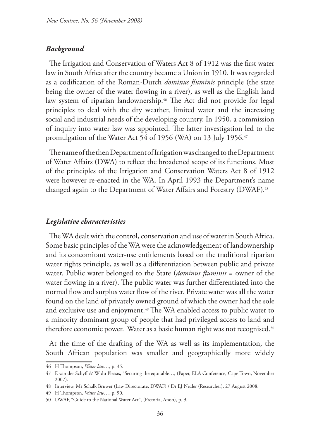#### *Background*

The Irrigation and Conservation of Waters Act 8 of 1912 was the first water law in South Africa after the country became a Union in 1910. It was regarded as a codification of the Roman-Dutch *dominus fluminis* principle (the state being the owner of the water flowing in a river), as well as the English land law system of riparian landownership.<sup>46</sup> The Act did not provide for legal principles to deal with the dry weather, limited water and the increasing social and industrial needs of the developing country. In 1950, a commission of inquiry into water law was appointed. The latter investigation led to the promulgation of the Water Act 54 of 1956 (WA) on 13 July 1956.<sup>47</sup>

The name of the then Department of Irrigation was changed to the Department of Water Affairs (DWA) to reflect the broadened scope of its functions. Most of the principles of the Irrigation and Conservation Waters Act 8 of 1912 were however re-enacted in the WA. In April 1993 the Department's name changed again to the Department of Water Affairs and Forestry (DWAF). 48

#### *Legislative characteristics*

The WA dealt with the control, conservation and use of water in South Africa. Some basic principles of the WA were the acknowledgement of landownership and its concomitant water-use entitlements based on the traditional riparian water rights principle, as well as a differentiation between public and private water. Public water belonged to the State (*dominus fluminis* = owner of the water flowing in a river). The public water was further differentiated into the normal flow and surplus water flow of the river. Private water was all the water found on the land of privately owned ground of which the owner had the sole and exclusive use and enjoyment.49 The WA enabled access to public water to a minority dominant group of people that had privileged access to land and therefore economic power. Water as a basic human right was not recognised.<sup>50</sup>

At the time of the drafting of the WA as well as its implementation, the South African population was smaller and geographically more widely

<sup>46</sup> H Thompson, *Water law…*, p. 35.

<sup>47</sup> E van der Schyff & W du Plessis, "Securing the equitable…, (Paper, ELA Conference, Cape Town, November 2007).

<sup>48</sup> Interview, Mr Schalk Bruwer (Law Directorate, DWAF) / Dr EJ Nealer (Researcher), 27 August 2008.

<sup>49</sup> H Thompson, *Water law…*, p. 90.

<sup>50</sup> DWAF, "Guide to the National Water Act", (Pretoria, Anon), p. 9.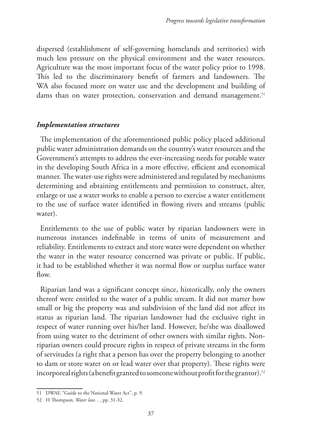dispersed (establishment of self-governing homelands and territories) with much less pressure on the physical environment and the water resources. Agriculture was the most important focus of the water policy prior to 1998. This led to the discriminatory benefit of farmers and landowners. The WA also focused more on water use and the development and building of dams than on water protection, conservation and demand management.<sup>51</sup>

### *Implementation structures*

The implementation of the aforementioned public policy placed additional public water administration demands on the country's water resources and the Government's attempts to address the ever-increasing needs for potable water in the developing South Africa in a more effective, efficient and economical manner. The water-use rights were administered and regulated by mechanisms determining and obtaining entitlements and permission to construct, alter, enlarge or use a water works to enable a person to exercise a water entitlement to the use of surface water identified in flowing rivers and streams (public water).

Entitlements to the use of public water by riparian landowners were in numerous instances indefinable in terms of units of measurement and reliability. Entitlements to extract and store water were dependent on whether the water in the water resource concerned was private or public. If public, it had to be established whether it was normal flow or surplus surface water flow.

Riparian land was a significant concept since, historically, only the owners thereof were entitled to the water of a public stream. It did not matter how small or big the property was and subdivision of the land did not affect its status as riparian land. The riparian landowner had the exclusive right in respect of water running over his/her land. However, he/she was disallowed from using water to the detriment of other owners with similar rights. Nonriparian owners could procure rights in respect of private streams in the form of servitudes (a right that a person has over the property belonging to another to dam or store water on or lead water over that property). These rights were incorporeal rights (a benefit granted to someone without profit for the grantor).<sup>52</sup>

<sup>51</sup> DWAF, "Guide to the National Water Act", p. 9.

<sup>52</sup> H Thompson, *Water law…*, pp. 31-32.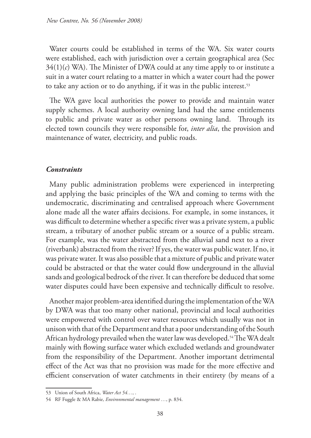Water courts could be established in terms of the WA. Six water courts were established, each with jurisdiction over a certain geographical area (Sec  $34(1)(c)$  WA). The Minister of DWA could at any time apply to or institute a suit in a water court relating to a matter in which a water court had the power to take any action or to do anything, if it was in the public interest.<sup>53</sup>

The WA gave local authorities the power to provide and maintain water supply schemes. A local authority owning land had the same entitlements to public and private water as other persons owning land. Through its elected town councils they were responsible for, *inter alia*, the provision and maintenance of water, electricity, and public roads.

### *Constraints*

Many public administration problems were experienced in interpreting and applying the basic principles of the WA and coming to terms with the undemocratic, discriminating and centralised approach where Government alone made all the water affairs decisions. For example, in some instances, it was difficult to determine whether a specific river was a private system, a public stream, a tributary of another public stream or a source of a public stream. For example, was the water abstracted from the alluvial sand next to a river (riverbank) abstracted from the river? If yes, the water was public water. If no, it was private water. It was also possible that a mixture of public and private water could be abstracted or that the water could flow underground in the alluvial sands and geological bedrock of the river. It can therefore be deduced that some water disputes could have been expensive and technically difficult to resolve.

Another major problem-area identified during the implementation of the WA by DWA was that too many other national, provincial and local authorities were empowered with control over water resources which usually was not in unison with that of the Department and that a poor understanding of the South African hydrology prevailed when the water law was developed.<sup>54</sup> The WA dealt mainly with flowing surface water which excluded wetlands and groundwater from the responsibility of the Department. Another important detrimental effect of the Act was that no provision was made for the more effective and efficient conservation of water catchments in their entirety (by means of a

<sup>53</sup> Union of South Africa, *Water Act 54…*, .

<sup>54</sup> RF Fuggle & MA Rabie, *Environmental management …*, p. 834.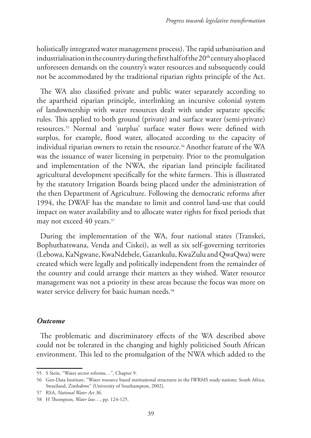holistically integrated water management process). The rapid urbanisation and industrialisation in the country during the first half of the  $20<sup>th</sup>$  century also placed unforeseen demands on the country's water resources and subsequently could not be accommodated by the traditional riparian rights principle of the Act.

The WA also classified private and public water separately according to the apartheid riparian principle, interlinking an incursive colonial system of landownership with water resources dealt with under separate specific rules. This applied to both ground (private) and surface water (semi-private) resources.55 Normal and 'surplus' surface water flows were defined with surplus, for example, flood water, allocated according to the capacity of individual riparian owners to retain the resource.<sup>56</sup> Another feature of the WA was the issuance of water licensing in perpetuity. Prior to the promulgation and implementation of the NWA, the riparian land principle facilitated agricultural development specifically for the white farmers. This is illustrated by the statutory Irrigation Boards being placed under the administration of the then Department of Agriculture. Following the democratic reforms after 1994, the DWAF has the mandate to limit and control land-use that could impact on water availability and to allocate water rights for fixed periods that may not exceed 40 years.<sup>57</sup>

During the implementation of the WA, four national states (Transkei, Bophuthatswana, Venda and Ciskei), as well as six self-governing territories (Lebowa, KaNgwane, KwaNdebele, Gazankulu, KwaZulu and QwaQwa) were created which were legally and politically independent from the remainder of the country and could arrange their matters as they wished. Water resource management was not a priority in these areas because the focus was more on water service delivery for basic human needs.<sup>58</sup>

# *Outcome*

The problematic and discriminatory effects of the WA described above could not be tolerated in the changing and highly politicised South African environment. This led to the promulgation of the NWA which added to the

<sup>55</sup> S Stein, "Water sector reforms…", Chapter 9.

<sup>56</sup> Geo-Data Institute, "Water resource based institutional structures in the IWRMS study nations: South Africa, Swaziland, Zimbabwe" (University of Southampton, 2002).

<sup>57</sup> RSA, *National Water Act 36*.

<sup>58</sup> H Thompson, *Water law…*, pp. 124-125.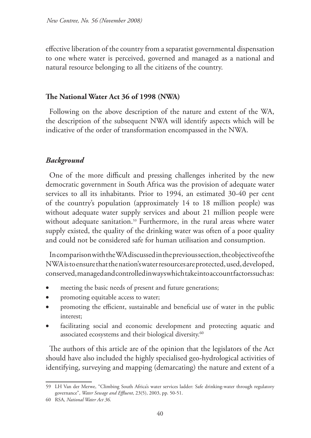effective liberation of the country from a separatist governmental dispensation to one where water is perceived, governed and managed as a national and natural resource belonging to all the citizens of the country.

# **The National Water Act 36 of 1998 (NWA)**

Following on the above description of the nature and extent of the WA, the description of the subsequent NWA will identify aspects which will be indicative of the order of transformation encompassed in the NWA.

# *Background*

One of the more difficult and pressing challenges inherited by the new democratic government in South Africa was the provision of adequate water services to all its inhabitants. Prior to 1994, an estimated 30-40 per cent of the country's population (approximately 14 to 18 million people) was without adequate water supply services and about 21 million people were without adequate sanitation.<sup>59</sup> Furthermore, in the rural areas where water supply existed, the quality of the drinking water was often of a poor quality and could not be considered safe for human utilisation and consumption.

In comparison with the WA discussed in the previous section, the objective of the NWA is to ensure that the nation's water resources are protected, used, developed, conserved, managed and controlled in ways which take into account factors such as:

- meeting the basic needs of present and future generations;
- promoting equitable access to water;
- promoting the efficient, sustainable and beneficial use of water in the public interest;
- facilitating social and economic development and protecting aquatic and associated ecosystems and their biological diversity.<sup>60</sup>

The authors of this article are of the opinion that the legislators of the Act should have also included the highly specialised geo-hydrological activities of identifying, surveying and mapping (demarcating) the nature and extent of a

<sup>59</sup> LH Van der Merwe, "Climbing South Africa's water services ladder: Safe drinking-water through regulatory governance", *Water Sewage and Effluent*, 23(5), 2003, pp. 50-51.

<sup>60</sup> RSA, *National Water Act 36*.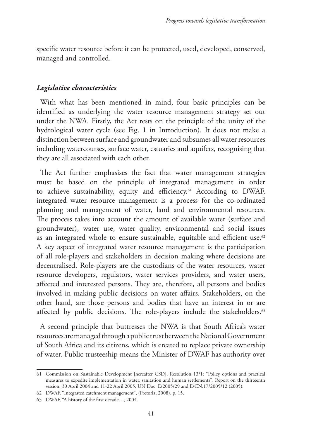specific water resource before it can be protected, used, developed, conserved, managed and controlled.

### *Legislative characteristics*

With what has been mentioned in mind, four basic principles can be identified as underlying the water resource management strategy set out under the NWA. Firstly, the Act rests on the principle of the unity of the hydrological water cycle (see Fig. 1 in Introduction). It does not make a distinction between surface and groundwater and subsumes all water resources including watercourses, surface water, estuaries and aquifers, recognising that they are all associated with each other.

The Act further emphasises the fact that water management strategies must be based on the principle of integrated management in order to achieve sustainability, equity and efficiency.61 According to DWAF, integrated water resource management is a process for the co-ordinated planning and management of water, land and environmental resources. The process takes into account the amount of available water (surface and groundwater), water use, water quality, environmental and social issues as an integrated whole to ensure sustainable, equitable and efficient use.<sup>62</sup> A key aspect of integrated water resource management is the participation of all role-players and stakeholders in decision making where decisions are decentralised. Role-players are the custodians of the water resources, water resource developers, regulators, water services providers, and water users, affected and interested persons. They are, therefore, all persons and bodies involved in making public decisions on water affairs. Stakeholders, on the other hand, are those persons and bodies that have an interest in or are affected by public decisions. The role-players include the stakeholders.<sup>63</sup>

A second principle that buttresses the NWA is that South Africa's water resources are managed through a public trust between the National Government of South Africa and its citizens, which is created to replace private ownership of water. Public trusteeship means the Minister of DWAF has authority over

<sup>61</sup> Commission on Sustainable Development [hereafter CSD], Resolution 13/1: "Policy options and practical measures to expedite implementation in water, sanitation and human settlements", Report on the thirteenth session, 30 April 2004 and 11-22 April 2005, UN Doc. E/2005/29 and E/CN.17/2005/12 (2005).

<sup>62</sup> DWAF, "Integrated catchment management", (Pretoria, 2008), p. 15.

<sup>63</sup> DWAF, "A history of the first decade…, 2004.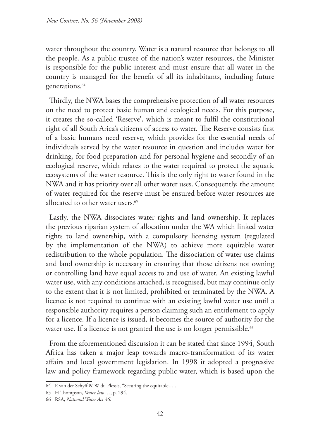water throughout the country. Water is a natural resource that belongs to all the people. As a public trustee of the nation's water resources, the Minister is responsible for the public interest and must ensure that all water in the country is managed for the benefit of all its inhabitants, including future generations.<sup>64</sup>

Thirdly, the NWA bases the comprehensive protection of all water resources on the need to protect basic human and ecological needs. For this purpose, it creates the so-called 'Reserve', which is meant to fulfil the constitutional right of all South Arica's citizens of access to water. The Reserve consists first of a basic humans need reserve, which provides for the essential needs of individuals served by the water resource in question and includes water for drinking, for food preparation and for personal hygiene and secondly of an ecological reserve, which relates to the water required to protect the aquatic ecosystems of the water resource. This is the only right to water found in the NWA and it has priority over all other water uses. Consequently, the amount of water required for the reserve must be ensured before water resources are allocated to other water users. 65

Lastly, the NWA dissociates water rights and land ownership. It replaces the previous riparian system of allocation under the WA which linked water rights to land ownership, with a compulsory licensing system (regulated by the implementation of the NWA) to achieve more equitable water redistribution to the whole population. The dissociation of water use claims and land ownership is necessary in ensuring that those citizens not owning or controlling land have equal access to and use of water. An existing lawful water use, with any conditions attached, is recognised, but may continue only to the extent that it is not limited, prohibited or terminated by the NWA. A licence is not required to continue with an existing lawful water use until a responsible authority requires a person claiming such an entitlement to apply for a licence. If a licence is issued, it becomes the source of authority for the water use. If a licence is not granted the use is no longer permissible.<sup>66</sup>

From the aforementioned discussion it can be stated that since 1994, South Africa has taken a major leap towards macro-transformation of its water affairs and local government legislation. In 1998 it adopted a progressive law and policy framework regarding public water, which is based upon the

<sup>64</sup> E van der Schyff & W du Plessis, "Securing the equitable… .

<sup>65</sup> H Thompson, *Water law …*, p. 294.

<sup>66</sup> RSA, *National Water Act 36*.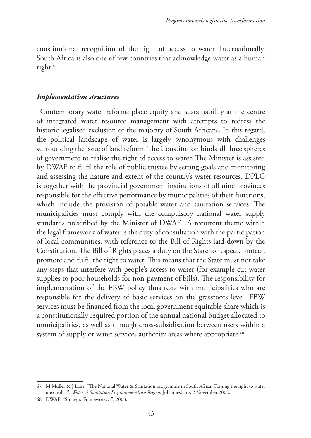constitutional recognition of the right of access to water. Internationally, South Africa is also one of few countries that acknowledge water as a human right.<sup>67</sup>

#### *Implementation structures*

Contemporary water reforms place equity and sustainability at the centre of integrated water resource management with attempts to redress the historic legalised exclusion of the majority of South Africans. In this regard, the political landscape of water is largely synonymous with challenges surrounding the issue of land reform. The Constitution binds all three spheres of government to realise the right of access to water. The Minister is assisted by DWAF to fulfil the role of public trustee by setting goals and monitoring and assessing the nature and extent of the country's water resources. DPLG is together with the provincial government institutions of all nine provinces responsible for the effective performance by municipalities of their functions, which include the provision of potable water and sanitation services. The municipalities must comply with the compulsory national water supply standards prescribed by the Minister of DWAF. A recurrent theme within the legal framework of water is the duty of consultation with the participation of local communities, with reference to the Bill of Rights laid down by the Constitution. The Bill of Rights places a duty on the State to respect, protect, promote and fulfil the right to water. This means that the State must not take any steps that interfere with people's access to water (for example cut water supplies to poor households for non-payment of bills). The responsibility for implementation of the FBW policy thus rests with municipalities who are responsible for the delivery of basic services on the grassroots level. FBW services must be financed from the local government equitable share which is a constitutionally required portion of the annual national budget allocated to municipalities, as well as through cross-subsidisation between users within a system of supply or water services authority areas where appropriate.<sup>68</sup>

<sup>67</sup> M Muller & J Lane, "The National Water & Sanitation programme in South Africa: Turning the right to water into reality", Water & Sanitation Programme-Africa Region, Johannesburg, 2 November 2002.

<sup>68</sup> DWAF "Strategic Framework…", 2003.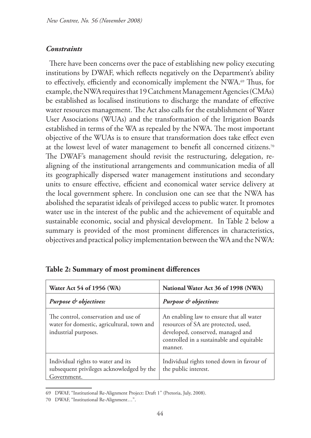# *Constraints*

There have been concerns over the pace of establishing new policy executing institutions by DWAF, which reflects negatively on the Department's ability to effectively, efficiently and economically implement the NWA.<sup>69</sup> Thus, for example, the NWA requires that 19 Catchment Management Agencies (CMAs) be established as localised institutions to discharge the mandate of effective water resources management. The Act also calls for the establishment of Water User Associations (WUAs) and the transformation of the Irrigation Boards established in terms of the WA as repealed by the NWA. The most important objective of the WUAs is to ensure that transformation does take effect even at the lowest level of water management to benefit all concerned citizens.70 The DWAF's management should revisit the restructuring, delegation, realigning of the institutional arrangements and communication media of all its geographically dispersed water management institutions and secondary units to ensure effective, efficient and economical water service delivery at the local government sphere. In conclusion one can see that the NWA has abolished the separatist ideals of privileged access to public water. It promotes water use in the interest of the public and the achievement of equitable and sustainable economic, social and physical development. In Table 2 below a summary is provided of the most prominent differences in characteristics, objectives and practical policy implementation between the WA and the NWA:

| Water Act 54 of 1956 (WA)                                                                                  | National Water Act 36 of 1998 (NWA)                                                                                                                                           |
|------------------------------------------------------------------------------------------------------------|-------------------------------------------------------------------------------------------------------------------------------------------------------------------------------|
| Purpose & objectives:                                                                                      | Purpose & objectives:                                                                                                                                                         |
| The control, conservation and use of<br>water for domestic, agricultural, town and<br>industrial purposes. | An enabling law to ensure that all water<br>resources of SA are protected, used,<br>developed, conserved, managed and<br>controlled in a sustainable and equitable<br>manner. |
| Individual rights to water and its<br>subsequent privileges acknowledged by the<br>Government.             | Individual rights toned down in favour of<br>the public interest.                                                                                                             |

# **Table 2: Summary of most prominent differences**

<sup>69</sup> DWAF, "Institutional Re-Alignment Project: Draft 1" (Pretoria, July, 2008).

<sup>70</sup> DWAF, "Institutional Re-Alignment…".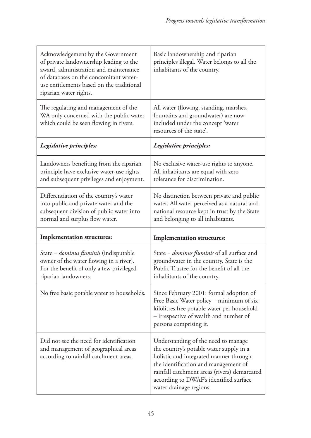| Acknowledgement by the Government<br>of private landownership leading to the<br>award, administration and maintenance<br>of databases on the concomitant water-<br>use entitlements based on the traditional<br>riparian water rights. | Basic landownership and riparian<br>principles illegal. Water belongs to all the<br>inhabitants of the country.                                                                                        |
|----------------------------------------------------------------------------------------------------------------------------------------------------------------------------------------------------------------------------------------|--------------------------------------------------------------------------------------------------------------------------------------------------------------------------------------------------------|
| The regulating and management of the<br>WA only concerned with the public water<br>which could be seen flowing in rivers.                                                                                                              | All water (flowing, standing, marshes,<br>fountains and groundwater) are now<br>included under the concept 'water<br>resources of the state'.                                                          |
| Legislative principles:                                                                                                                                                                                                                | Legislative principles:                                                                                                                                                                                |
| Landowners benefiting from the riparian<br>principle have exclusive water-use rights<br>and subsequent privileges and enjoyment.                                                                                                       | No exclusive water-use rights to anyone.<br>All inhabitants are equal with zero<br>tolerance for discrimination.                                                                                       |
| Differentiation of the country's water<br>into public and private water and the<br>subsequent division of public water into<br>normal and surplus flow water.                                                                          | No distinction between private and public<br>water. All water perceived as a natural and<br>national resource kept in trust by the State<br>and belonging to all inhabitants.                          |
| <b>Implementation structures:</b>                                                                                                                                                                                                      | <b>Implementation structures:</b>                                                                                                                                                                      |
| State = <i>dominus fluminis</i> (indisputable<br>owner of the water flowing in a river).<br>For the benefit of only a few privileged<br>riparian landowners.                                                                           | State = <i>dominus fluminis</i> of all surface and<br>groundwater in the country. State is the<br>Public Trustee for the benefit of all the                                                            |
|                                                                                                                                                                                                                                        | inhabitants of the country.                                                                                                                                                                            |
| No free basic potable water to households.                                                                                                                                                                                             | Since February 2001: formal adoption of<br>Free Basic Water policy - minimum of six<br>kilolitres free potable water per household<br>- irrespective of wealth and number of<br>persons comprising it. |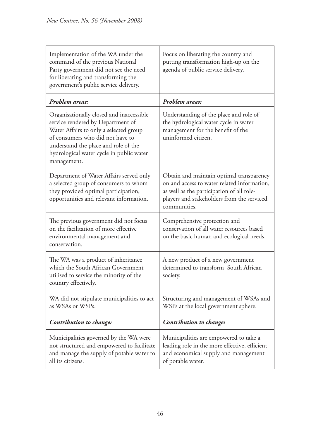| Implementation of the WA under the<br>command of the previous National<br>Party government did not see the need<br>for liberating and transforming the<br>government's public service delivery.                                                                | Focus on liberating the country and<br>putting transformation high-up on the<br>agenda of public service delivery.                                                                                 |
|----------------------------------------------------------------------------------------------------------------------------------------------------------------------------------------------------------------------------------------------------------------|----------------------------------------------------------------------------------------------------------------------------------------------------------------------------------------------------|
| Problem areas:                                                                                                                                                                                                                                                 | Problem areas:                                                                                                                                                                                     |
| Organisationally closed and inaccessible<br>service rendered by Department of<br>Water Affairs to only a selected group<br>of consumers who did not have to<br>understand the place and role of the<br>hydrological water cycle in public water<br>management. | Understanding of the place and role of<br>the hydrological water cycle in water<br>management for the benefit of the<br>uninformed citizen.                                                        |
| Department of Water Affairs served only<br>a selected group of consumers to whom<br>they provided optimal participation,<br>opportunities and relevant information.                                                                                            | Obtain and maintain optimal transparency<br>on and access to water related information,<br>as well as the participation of all role-<br>players and stakeholders from the serviced<br>communities. |
| The previous government did not focus<br>on the facilitation of more effective<br>environmental management and<br>conservation.                                                                                                                                | Comprehensive protection and<br>conservation of all water resources based<br>on the basic human and ecological needs.                                                                              |
| The WA was a product of inheritance<br>which the South African Government<br>utilised to service the minority of the<br>country effectively.                                                                                                                   | A new product of a new government<br>determined to transform South African<br>society.                                                                                                             |
| WA did not stipulate municipalities to act<br>as WSAs or WSPs.                                                                                                                                                                                                 | Structuring and management of WSAs and<br>WSPs at the local government sphere.                                                                                                                     |
| Contribution to change:                                                                                                                                                                                                                                        | Contribution to change:                                                                                                                                                                            |
| Municipalities governed by the WA were<br>not structured and empowered to facilitate<br>and manage the supply of potable water to<br>all its citizens.                                                                                                         | Municipalities are empowered to take a<br>leading role in the more effective, efficient<br>and economical supply and management<br>of potable water.                                               |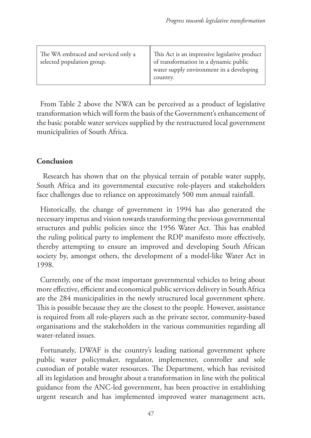| The WA embraced and serviced only a<br>selected population group. | This Act is an impressive legislative product<br>of transformation in a dynamic public<br>water supply environment in a developing<br>country. |
|-------------------------------------------------------------------|------------------------------------------------------------------------------------------------------------------------------------------------|
|-------------------------------------------------------------------|------------------------------------------------------------------------------------------------------------------------------------------------|

From Table 2 above the NWA can be perceived as a product of legislative transformation which will form the basis of the Government's enhancement of the basic potable water services supplied by the restructured local government municipalities of South Africa.

# **Conclusion**

Research has shown that on the physical terrain of potable water supply, South Africa and its governmental executive role-players and stakeholders face challenges due to reliance on approximately 500 mm annual rainfall.

Historically, the change of government in 1994 has also generated the necessary impetus and vision towards transforming the previous governmental structures and public policies since the 1956 Water Act. This has enabled the ruling political party to implement the RDP manifesto more effectively, thereby attempting to ensure an improved and developing South African society by, amongst others, the development of a model-like Water Act in 1998.

Currently, one of the most important governmental vehicles to bring about more effective, efficient and economical public services delivery in South Africa are the 284 municipalities in the newly structured local government sphere. This is possible because they are the closest to the people. However, assistance is required from all role-players such as the private sector, community-based organisations and the stakeholders in the various communities regarding all water-related issues.

Fortunately, DWAF is the country's leading national government sphere public water policymaker, regulator, implementer, controller and sole custodian of potable water resources. The Department, which has revisited all its legislation and brought about a transformation in line with the political guidance from the ANC-led government, has been proactive in establishing urgent research and has implemented improved water management acts,